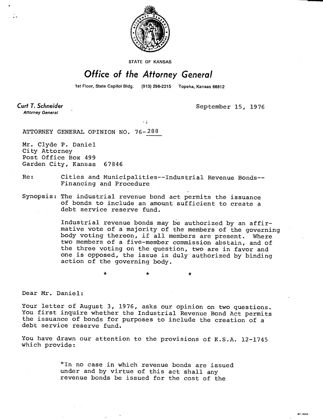

STATE OF KANSAS

## Office of the Attorney General

1st Floor, State Capitol Bldg. (913) 296-2215 Topeka, Kansas 66612

Curt T. Schneider **Attorney General** 

September 15, 1976

MI-1043

ATTORNEY GENERAL OPINION NO. 76-288

Mr. Clyde P. Daniel City Attorney Post Office Box 499 Garden City, Kansas 67846

## Re: Cities and Municipalities--Industrial Revenue Bonds-- Financing and Procedure

## Synopsis: The industrial revenue bond act permits the issuance of bonds to include an amount sufficient to create a debt service reserve fund.

Industrial revenue bonds may be authorized by an affirmative vote of a majority of the members of the governing body voting thereon, if all members are present. Where two members of a five-member commission abstain, and of the three voting on the question, two are in favor and one is opposed, the issue is duly authorized by binding action of the governing body.

Dear Mr. Daniel:

Your letter of August 3, 1976, asks our opinion on two questions. You first inquire whether the Industrial Revenue Bond Act permits the issuance of bonds for purposes to include the creation of a debt service reserve fund.

You have drawn our attention to the provisions of K.S.A. 12-1745 which provide:

> "In no case in which revenue bonds are issued under and by virtue of this act shall any revenue bonds be issued for the cost of the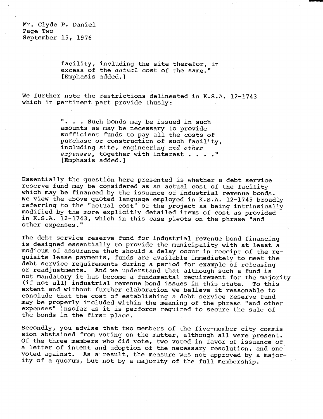Mr. Clyde P. Daniel Page Two September 15, 1976

> facility, including the site therefor, in excess of the *actual* cost of the same." [Emphasis added.]

We further note the restrictions delineated in K.S.A. 12-1743 which in pertinent part provide thusly:

> . . . Such bonds may be issued in such amounts as may be necessary to provide sufficient funds to pay all the costs of purchase or construction of such facility, including site, engineering and other expenses, together with interest . . . . " [Emphasis added.]

Essentially the question here presented is whether a debt service reserve fund may be considered as an actual cost of the facility which may be financed by the issuance of industrial revenue bonds. We view the above quoted language employed in K.S.A. 12-1745 broadly referring to the "actual cost" of the project as being intrinsically modified by the more explicitly detailed items of cost as provided in K.S.A. 12-1743, which in this case pivots on the phrase "and other expenses."

The debt service reserve fund for industrial revenue bond financing is designed essentially to provide the municipality with at least a modicum of assurance that should a delay occur in receipt of the requisite lease payments, funds are available immediately to meet the debt service requirements during a period for example of releasing or readjustments. And we understand that although such a fund is not mandatory it has become a fundamental requirement for the majority (if not all) industrial revenue bond issues in this state. To this extent and without further elaboration we believe it reasonable to conclude that the cost of establishing a debt service reserve fund may be properly included within the meaning of the phrase "and other expenses" insofar as it is perforce required to secure the sale of the bonds in the first place.

Secondly, you advise that two members of the five-member city commission abstained from voting on the matter, although all were present. Of the three members who did vote, two voted in favor of issuance of a letter of intent and adoption of the necessary resolution, and one voted against. As a result, the measure was not approved by a majority of a quorum, but not by a majority of the full membership.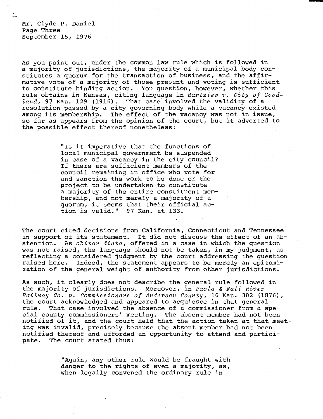Mr. Clyde P. Daniel Page Three September 15, 1976

As you point out, under the common law rule which is followed in a majority of jurisdictions, the majority of a municipal body constitutes a quorum for the transaction of business, and the affirmative vote of a majority of those present and voting is sufficient to constitute binding action. You question, however, whether this rule obtains in Kansas, citing language in Hartzler v. City of Goodland, 97 Kan. 129 (1916). That case involved the validity of a resolution passed by a city governing body while a vacancy existed among its membership. The effect of the vacancy was not in issue, so far as appears from the opinion of the court, but it adverted to the possible effect thereof nonetheless:

> "Is it imperative that the functions of local municipal government be suspended in case of a vacancy in the city council? If there are sufficient members of the council remaining in office who vote for and sanction the work to be done or the project to be undertaken to constitute a majority of the entire constituent membership, and not merely a majority of a quorum, it seems that their official action is valid." 97 Kan. at 133.

The court cited decisions from California, Connecticut and Tennessee in support of its statement. It did not discuss the effect of an abstention. As *obiter dicta*, offered in a case in which the question was not raised, the language should not be taken, in my judgment, as reflecting a considered judgment by the court addressing the question raised here. Indeed, the statement appears to be merely an epitomization of the general weight of authority from other jurisdictions.

As such, it clearly does not describe the general rule followed in the majority of jurisdictions. Moreover, in Paola & Fall River Railway Co. v. Commissioners of Anderson County, 16 Kan. 302 (1876), the court acknowledged and appeared to acquiesce in that general rule. That case involved the absence of a commissioner from a special county commissioners' meeting. The absent member had not been notified of it, and the court held that the action taken at that meeting was invalid, precisely because the absent member had not been notified thereof and afforded an opportunity to attend and participate. The court stated thus:

> "Again, any other rule would be fraught with danger to the rights of even a majority, as, when legally convened the ordinary rule in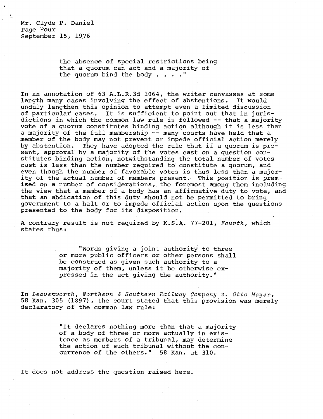Mr. Clyde P. Daniel Page Four September 15, 1976

> the absence of special restrictions being that a quorum can act and a majority of the quorum bind the body . . . ."

In an annotation of 63 A.L.R.3d 1064, the writer canvasses at some length many cases involving the effect of abstentions. It would unduly lengthen this opinion to attempt even a limited discussion of particular cases. It is sufficient to point out that in jurisdictions in which the common law rule is followed -- that a majority vote of a quorum constitutes binding action although it is less than a majority of the full membership -- many courts have held that a member of the body may not prevent or impede official action merely by abstention. They have adopted the rule that if a quorum is present, approval by a majority of the votes cast on a question constitutes binding action, notwithstanding the total number of votes cast is less than the number required to constitute a quorum, and even though the number of favorable votes is thus less than a majority of the actual number of members present. This position is premised on a number of considerations, the foremost among them including the view that a member of a body has an affirmative duty to vote, and that an abdication of this duty should not be permitted to bring government to a halt or to impede official action upon the questions presented to the body for its disposition.

A contrary result is not required by K.S.A. 77-201, Fourth, which states thus:

> "Words giving a joint authority to three or more public officers or other persons shall be construed as given such authority to a majority of them, unless it be otherwise expressed in the act giving the authority."

In Leavenworth, Northern & Southern Railway Company v. Otto Meyer, 58 Kan. 305 (1897), the court stated that this provision was merely declaratory of the common law rule:

> "It declares nothing more than that a majority of a body of three or more actually in existence as members of a tribunal, may determine the action of such tribunal without the concurrence of the others." 58 Kan. at 310.

It does not address the question raised here.